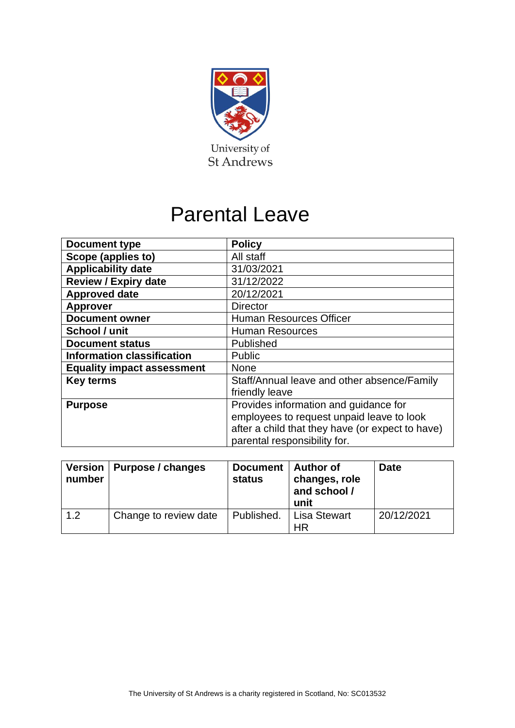

# Parental Leave

| <b>Document type</b>              | <b>Policy</b>                                    |
|-----------------------------------|--------------------------------------------------|
| Scope (applies to)                | All staff                                        |
| <b>Applicability date</b>         | 31/03/2021                                       |
| <b>Review / Expiry date</b>       | 31/12/2022                                       |
| <b>Approved date</b>              | 20/12/2021                                       |
| <b>Approver</b>                   | <b>Director</b>                                  |
| <b>Document owner</b>             | <b>Human Resources Officer</b>                   |
| School / unit                     | <b>Human Resources</b>                           |
| <b>Document status</b>            | Published                                        |
| <b>Information classification</b> | <b>Public</b>                                    |
| <b>Equality impact assessment</b> | <b>None</b>                                      |
| <b>Key terms</b>                  | Staff/Annual leave and other absence/Family      |
|                                   | friendly leave                                   |
| <b>Purpose</b>                    | Provides information and guidance for            |
|                                   | employees to request unpaid leave to look        |
|                                   | after a child that they have (or expect to have) |
|                                   | parental responsibility for.                     |

| number | Version   Purpose / changes | Document   Author of<br><b>status</b> | changes, role<br>and school /<br>unit | <b>Date</b> |  |
|--------|-----------------------------|---------------------------------------|---------------------------------------|-------------|--|
| 1.2    | Change to review date       | Published.                            | <b>Lisa Stewart</b><br>ΗR             | 20/12/2021  |  |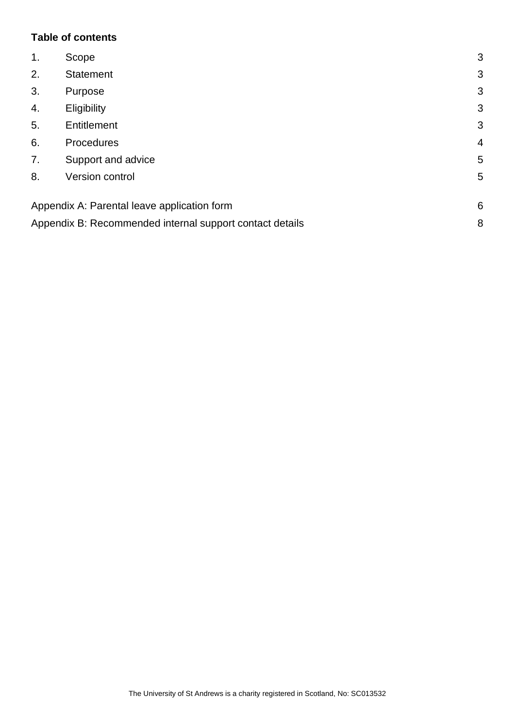## **Table of contents**

| $\mathbf{1}$ . | Scope                                                    | 3              |
|----------------|----------------------------------------------------------|----------------|
| 2.             | <b>Statement</b>                                         | 3              |
| 3.             | Purpose                                                  | 3              |
| 4.             | Eligibility                                              | 3              |
| 5.             | Entitlement                                              | 3              |
| 6.             | Procedures                                               | $\overline{4}$ |
| 7.             | Support and advice                                       | 5              |
| 8.             | Version control                                          | 5              |
|                | Appendix A: Parental leave application form              | 6              |
|                | Appendix B: Recommended internal support contact details | 8              |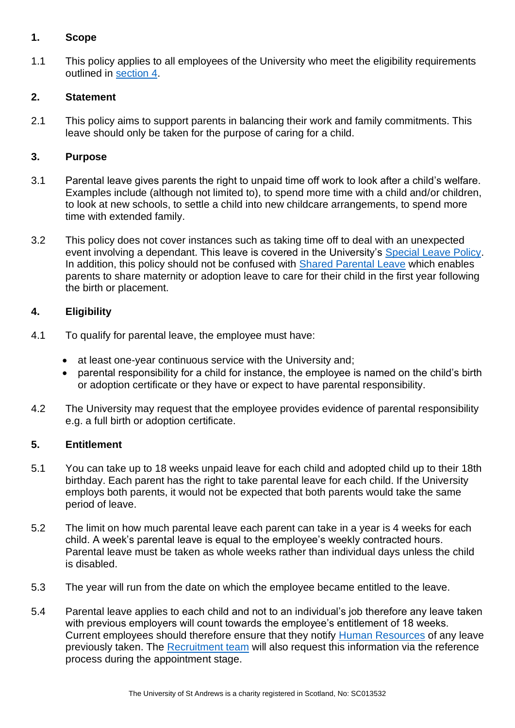# <span id="page-2-0"></span>**1. Scope**

1.1 This policy applies to all employees of the University who meet the eligibility requirements outlined in [section 4.](#page-2-3)

## <span id="page-2-1"></span>**2. Statement**

2.1 This policy aims to support parents in balancing their work and family commitments. This leave should only be taken for the purpose of caring for a child.

#### <span id="page-2-2"></span>**3. Purpose**

- 3.1 Parental leave gives parents the right to unpaid time off work to look after a child's welfare. Examples include (although not limited to), to spend more time with a child and/or children, to look at new schools, to settle a child into new childcare arrangements, to spend more time with extended family.
- 3.2 This policy does not cover instances such as taking time off to deal with an unexpected event involving a dependant. This leave is covered in the University's [Special Leave Policy.](https://www.st-andrews.ac.uk/staff/policy/hr/specialleavepolicy/) In addition, this policy should not be confused with [Shared Parental Leave](https://www.st-andrews.ac.uk/media/human-resources/new-policy-section-documents/sharedpaternalleave/Shared%20parental%20leave%20policy.pdf) which enables parents to share maternity or adoption leave to care for their child in the first year following the birth or placement.

## <span id="page-2-3"></span>**4. Eligibility**

- 4.1 To qualify for parental leave, the employee must have:
	- at least one-year continuous service with the University and;
	- parental responsibility for a child for instance, the employee is named on the child's birth or adoption certificate or they have or expect to have parental responsibility.
- 4.2 The University may request that the employee provides evidence of parental responsibility e.g. a full birth or adoption certificate.

#### <span id="page-2-4"></span>**5. Entitlement**

- 5.1 You can take up to 18 weeks unpaid leave for each child and adopted child up to their 18th birthday. Each parent has the right to take parental leave for each child. If the University employs both parents, it would not be expected that both parents would take the same period of leave.
- 5.2 The limit on how much parental leave each parent can take in a year is 4 weeks for each child. A week's parental leave is equal to the employee's weekly contracted hours. Parental leave must be taken as whole weeks rather than individual days unless the child is disabled.
- 5.3 The year will run from the date on which the employee became entitled to the leave.
- 5.4 Parental leave applies to each child and not to an individual's job therefore any leave taken with previous employers will count towards the employee's entitlement of 18 weeks. Current employees should therefore ensure that they notify [Human Resources](mailto:humres@st-andrews.ac.uk?subject=Parental%20Leave%20) of any leave previously taken. The [Recruitment team](https://www.st-andrews.ac.uk/hr/recruitment/recruitmentstaff/) will also request this information via the reference process during the appointment stage.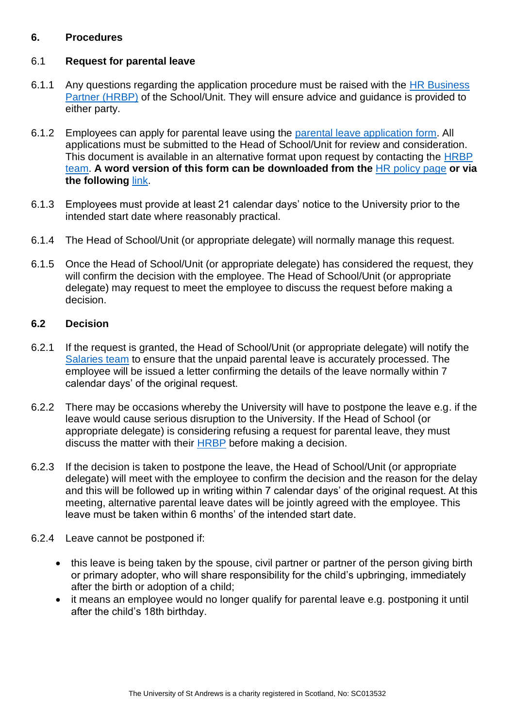## <span id="page-3-0"></span>**6. Procedures**

#### 6.1 **Request for parental leave**

- 6.1.1 Any questions regarding the application procedure must be raised with the [HR Business](https://www.st-andrews.ac.uk/hr/businesspartner/)  [Partner \(HRBP\)](https://www.st-andrews.ac.uk/hr/businesspartner/) of the School/Unit. They will ensure advice and guidance is provided to either party.
- 6.1.2 Employees can apply for parental leave using the [parental leave application form.](#page-5-0) All applications must be submitted to the Head of School/Unit for review and consideration. This document is available in an alternative format upon request by contacting the HRBP [team.](https://www.st-andrews.ac.uk/hr/businesspartner/) **A word version of this form can be downloaded from the** [HR policy page](https://www.st-andrews.ac.uk/staff/policy/hr/) **or via the following** [link.](https://www.st-andrews.ac.uk/media/human-resources/new-policy-section-documents/parentalleave/Parental%20leave%20application%20form.docx)
- 6.1.3 Employees must provide at least 21 calendar days' notice to the University prior to the intended start date where reasonably practical.
- 6.1.4 The Head of School/Unit (or appropriate delegate) will normally manage this request.
- 6.1.5 Once the Head of School/Unit (or appropriate delegate) has considered the request, they will confirm the decision with the employee. The Head of School/Unit (or appropriate delegate) may request to meet the employee to discuss the request before making a decision.

#### **6.2 Decision**

- 6.2.1 If the request is granted, the Head of School/Unit (or appropriate delegate) will notify the [Salaries team](mailto:monthly-ns@st-andrews.ac.uk?subject=Parental%20leave%20request%20-%20approval) to ensure that the unpaid parental leave is accurately processed. The employee will be issued a letter confirming the details of the leave normally within 7 calendar days' of the original request.
- 6.2.2 There may be occasions whereby the University will have to postpone the leave e.g. if the leave would cause serious disruption to the University. If the Head of School (or appropriate delegate) is considering refusing a request for parental leave, they must discuss the matter with their [HRBP](https://www.st-andrews.ac.uk/hr/businesspartner/) before making a decision.
- 6.2.3 If the decision is taken to postpone the leave, the Head of School/Unit (or appropriate delegate) will meet with the employee to confirm the decision and the reason for the delay and this will be followed up in writing within 7 calendar days' of the original request. At this meeting, alternative parental leave dates will be jointly agreed with the employee. This leave must be taken within 6 months' of the intended start date.
- 6.2.4 Leave cannot be postponed if:
	- this leave is being taken by the spouse, civil partner or partner of the person giving birth or primary adopter, who will share responsibility for the child's upbringing, immediately after the birth or adoption of a child;
	- it means an employee would no longer qualify for parental leave e.g. postponing it until after the child's 18th birthday.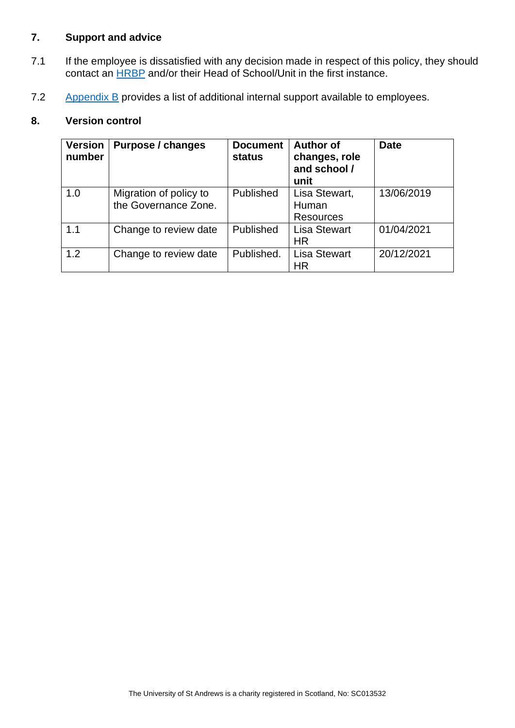# <span id="page-4-0"></span>**7. Support and advice**

- 7.1 If the employee is dissatisfied with any decision made in respect of this policy, they should contact an [HRBP](https://www.st-andrews.ac.uk/hr/businesspartner/) and/or their Head of School/Unit in the first instance.
- 7.2 [Appendix B](#page-5-0) provides a list of additional internal support available to employees.

## <span id="page-4-1"></span>**8. Version control**

| <b>Version</b><br>number | <b>Purpose / changes</b>                       | <b>Document</b><br><b>status</b> | <b>Author of</b><br>changes, role<br>and school /<br>unit | <b>Date</b> |
|--------------------------|------------------------------------------------|----------------------------------|-----------------------------------------------------------|-------------|
| 1.0                      | Migration of policy to<br>the Governance Zone. | Published                        | Lisa Stewart,<br>Human<br><b>Resources</b>                | 13/06/2019  |
| 1.1                      | Change to review date                          | Published                        | <b>Lisa Stewart</b><br>ΗR                                 | 01/04/2021  |
| 1.2                      | Change to review date                          | Published.                       | <b>Lisa Stewart</b><br><b>HR</b>                          | 20/12/2021  |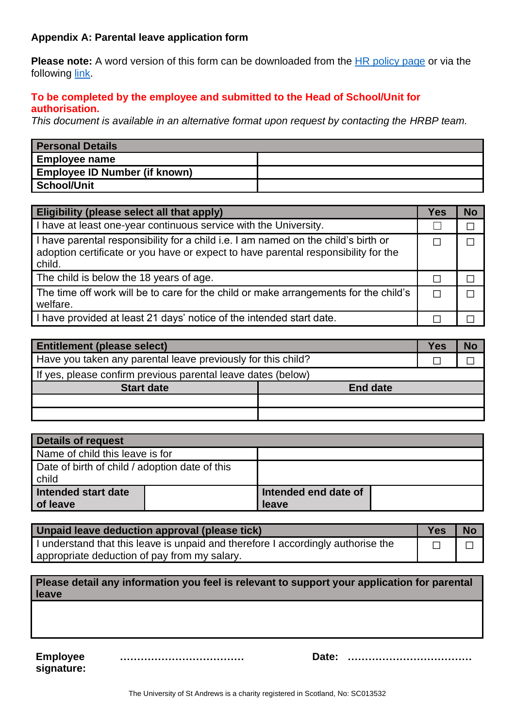## <span id="page-5-0"></span>**Appendix A: Parental leave application form**

**Please note:** A word version of this form can be downloaded from the [HR policy page](https://www.st-andrews.ac.uk/staff/policy/hr/) or via the following [link.](https://www.st-andrews.ac.uk/media/human-resources/new-policy-section-documents/parentalleave/Parental%20leave%20application%20form.docx)

#### **To be completed by the employee and submitted to the Head of School/Unit for authorisation.**

*This document is available in an alternative format upon request by contacting the [HRBP team.](https://www.st-andrews.ac.uk/hr/businesspartner/)* 

| <b>Personal Details</b>              |  |
|--------------------------------------|--|
| Employee name                        |  |
| <b>Employee ID Number (if known)</b> |  |
| School/Unit                          |  |

| Eligibility (please select all that apply)                                                                                                                                         | <b>Yes</b> | No |
|------------------------------------------------------------------------------------------------------------------------------------------------------------------------------------|------------|----|
| I have at least one-year continuous service with the University.                                                                                                                   |            |    |
| I have parental responsibility for a child i.e. I am named on the child's birth or<br>adoption certificate or you have or expect to have parental responsibility for the<br>child. |            |    |
| The child is below the 18 years of age.                                                                                                                                            |            |    |
| The time off work will be to care for the child or make arrangements for the child's<br>welfare.                                                                                   |            |    |
| I have provided at least 21 days' notice of the intended start date.                                                                                                               |            |    |

| <b>Entitlement (please select)</b>                           |                 | Yes | N |
|--------------------------------------------------------------|-----------------|-----|---|
| Have you taken any parental leave previously for this child? |                 |     |   |
| If yes, please confirm previous parental leave dates (below) |                 |     |   |
| <b>Start date</b>                                            | <b>End date</b> |     |   |
|                                                              |                 |     |   |
|                                                              |                 |     |   |

| Details of request                                      |                               |  |  |  |
|---------------------------------------------------------|-------------------------------|--|--|--|
| Name of child this leave is for                         |                               |  |  |  |
| Date of birth of child / adoption date of this<br>child |                               |  |  |  |
| Intended start date<br>of leave                         | Intended end date of<br>leave |  |  |  |

| Unpaid leave deduction approval (please tick)                                    |  | <b>N</b> |
|----------------------------------------------------------------------------------|--|----------|
| I understand that this leave is unpaid and therefore I accordingly authorise the |  |          |
| appropriate deduction of pay from my salary.                                     |  |          |

| Please detail any information you feel is relevant to support your application for parental |  |
|---------------------------------------------------------------------------------------------|--|
| <b>leave</b>                                                                                |  |

**Employee signature:**

| Date: |  |
|-------|--|
|       |  |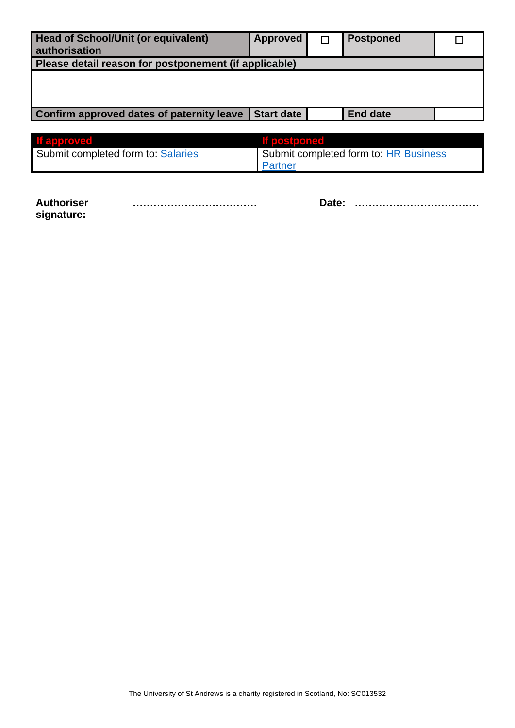| <b>Head of School/Unit (or equivalent)</b><br>authorisation | <b>Approved</b>   | <b>Postponed</b>                      |  |
|-------------------------------------------------------------|-------------------|---------------------------------------|--|
| Please detail reason for postponement (if applicable)       |                   |                                       |  |
|                                                             |                   |                                       |  |
|                                                             |                   |                                       |  |
|                                                             |                   |                                       |  |
| <b>Confirm approved dates of paternity leave</b>            | <b>Start date</b> | <b>End date</b>                       |  |
|                                                             |                   |                                       |  |
| <b>If approved</b>                                          | If postponed      |                                       |  |
| Cubmit completed form to: Coloriac                          |                   | Cubmit completed form to: HD Pucinose |  |

| <u>ii ciyyi uvudu</u>              | <b>TERMS CONTROL</b>                  |
|------------------------------------|---------------------------------------|
| Submit completed form to: Salaries | Submit completed form to: HR Business |
|                                    | Partner                               |
|                                    |                                       |

**Authoriser signature:**

**……………………………… Date: ………………………………**